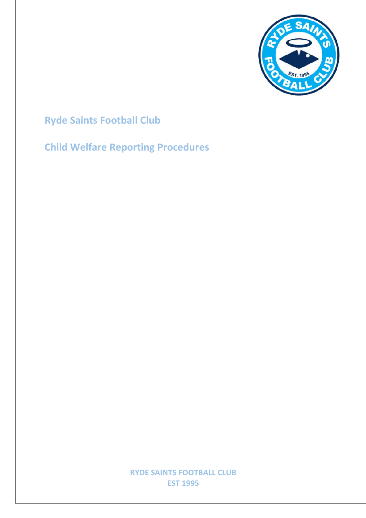

## **Ryde Saints Football Club**

## **Child Welfare Reporting Procedures**

**RYDE SAINTS FOOTBALL CLUB EST 1995**